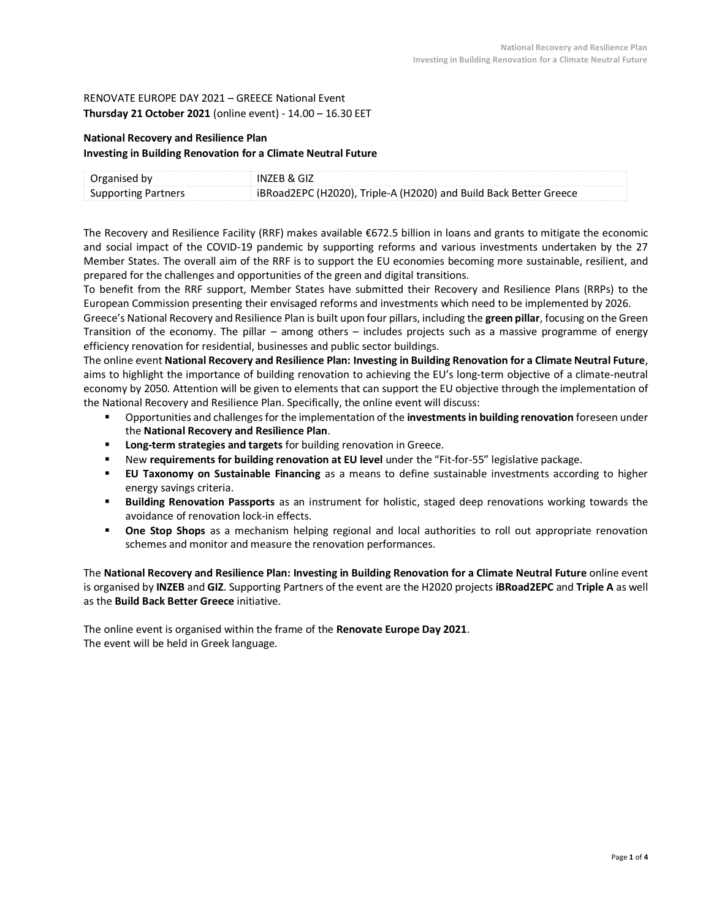## RENOVATE EUROPE DAY 2021 – GREECE National Event **Thursday 21 October 2021** (online event) - 14.00 – 16.30 EET

# **National Recovery and Resilience Plan**

**Investing in Building Renovation for a Climate Neutral Future**

| Organised by               | INZEB & GIZ                                                       |
|----------------------------|-------------------------------------------------------------------|
| <b>Supporting Partners</b> | iBRoad2EPC (H2020), Triple-A (H2020) and Build Back Better Greece |

The Recovery and Resilience Facility (RRF) makes available €672.5 billion in loans and grants to mitigate the economic and social impact of the COVID-19 pandemic by supporting reforms and various investments undertaken by the 27 Member States. The overall aim of the RRF is to support the EU economies becoming more sustainable, resilient, and prepared for the challenges and opportunities of the green and digital transitions.

To benefit from the RRF support, Member States have submitted their Recovery and Resilience Plans (RRPs) to the European Commission presenting their envisaged reforms and investments which need to be implemented by 2026.

Greece's National Recovery and Resilience Plan is built upon four pillars, including the **green pillar**, focusing on the Green Transition of the economy. The pillar – among others – includes projects such as a massive programme of energy efficiency renovation for residential, businesses and public sector buildings.

The online event **National Recovery and Resilience Plan: Investing in Building Renovation for a Climate Neutral Future**, aims to highlight the importance of building renovation to achieving the EU's long-term objective of a climate-neutral economy by 2050. Attention will be given to elements that can support the EU objective through the implementation of the National Recovery and Resilience Plan. Specifically, the online event will discuss:

- Opportunities and challenges for the implementation of the **investments in building renovation** foreseen under the **National Recovery and Resilience Plan**.
- **Long-term strategies and targets** for building renovation in Greece.
- New **requirements for building renovation at EU level** under the "Fit-for-55" legislative package.
- **EU Taxonomy on Sustainable Financing** as a means to define sustainable investments according to higher energy savings criteria.
- **Building Renovation Passports** as an instrument for holistic, staged deep renovations working towards the avoidance of renovation lock-in effects.
- **One Stop Shops** as a mechanism helping regional and local authorities to roll out appropriate renovation schemes and monitor and measure the renovation performances.

The **National Recovery and Resilience Plan: Investing in Building Renovation for a Climate Neutral Future** online event is organised by **INZEB** and **GIZ**. Supporting Partners of the event are the H2020 projects **iBRoad2EPC** and **Triple A** as well as the **Build Back Better Greece** initiative.

The online event is organised within the frame of the **Renovate Europe Day 2021**. The event will be held in Greek language.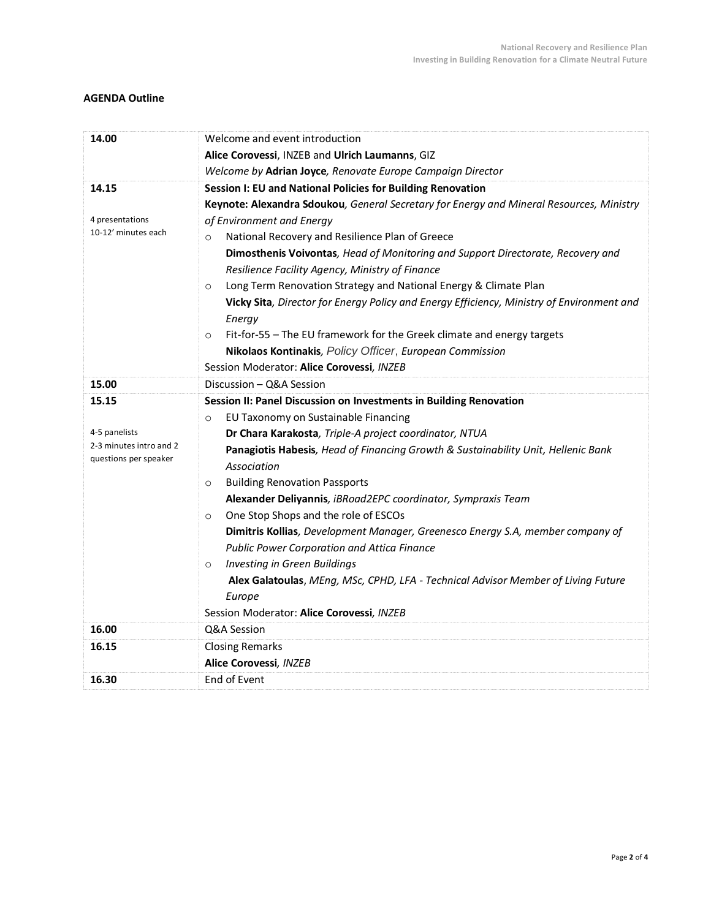# **AGENDA Outline**

| 14.00                                            | Welcome and event introduction                                                            |
|--------------------------------------------------|-------------------------------------------------------------------------------------------|
|                                                  | Alice Corovessi, INZEB and Ulrich Laumanns, GIZ                                           |
|                                                  | Welcome by Adrian Joyce, Renovate Europe Campaign Director                                |
| 14.15                                            | Session I: EU and National Policies for Building Renovation                               |
|                                                  | Keynote: Alexandra Sdoukou, General Secretary for Energy and Mineral Resources, Ministry  |
| 4 presentations                                  | of Environment and Energy                                                                 |
| 10-12' minutes each                              | National Recovery and Resilience Plan of Greece<br>$\circ$                                |
|                                                  | Dimosthenis Voivontas, Head of Monitoring and Support Directorate, Recovery and           |
|                                                  | Resilience Facility Agency, Ministry of Finance                                           |
|                                                  | Long Term Renovation Strategy and National Energy & Climate Plan<br>$\circ$               |
|                                                  | Vicky Sita, Director for Energy Policy and Energy Efficiency, Ministry of Environment and |
|                                                  | Energy                                                                                    |
|                                                  | Fit-for-55 - The EU framework for the Greek climate and energy targets<br>$\Omega$        |
|                                                  | Nikolaos Kontinakis, Policy Officer, European Commission                                  |
|                                                  | Session Moderator: Alice Corovessi, INZEB                                                 |
| 15.00                                            | Discussion - Q&A Session                                                                  |
| 15.15                                            | Session II: Panel Discussion on Investments in Building Renovation                        |
|                                                  | EU Taxonomy on Sustainable Financing<br>$\circ$                                           |
| 4-5 panelists                                    | Dr Chara Karakosta, Triple-A project coordinator, NTUA                                    |
| 2-3 minutes intro and 2<br>questions per speaker | Panagiotis Habesis, Head of Financing Growth & Sustainability Unit, Hellenic Bank         |
|                                                  | Association                                                                               |
|                                                  | <b>Building Renovation Passports</b><br>$\circ$                                           |
|                                                  | Alexander Deliyannis, iBRoad2EPC coordinator, Sympraxis Team                              |
|                                                  | One Stop Shops and the role of ESCOs<br>$\circ$                                           |
|                                                  | Dimitris Kollias, Development Manager, Greenesco Energy S.A, member company of            |
|                                                  | Public Power Corporation and Attica Finance                                               |
|                                                  | <b>Investing in Green Buildings</b><br>$\circ$                                            |
|                                                  | Alex Galatoulas, MEng, MSc, CPHD, LFA - Technical Advisor Member of Living Future         |
|                                                  | Europe                                                                                    |
|                                                  | Session Moderator: Alice Corovessi, INZEB                                                 |
| 16.00                                            | Q&A Session                                                                               |
| 16.15                                            | <b>Closing Remarks</b>                                                                    |
|                                                  | Alice Corovessi, INZEB                                                                    |
| 16.30                                            | End of Event                                                                              |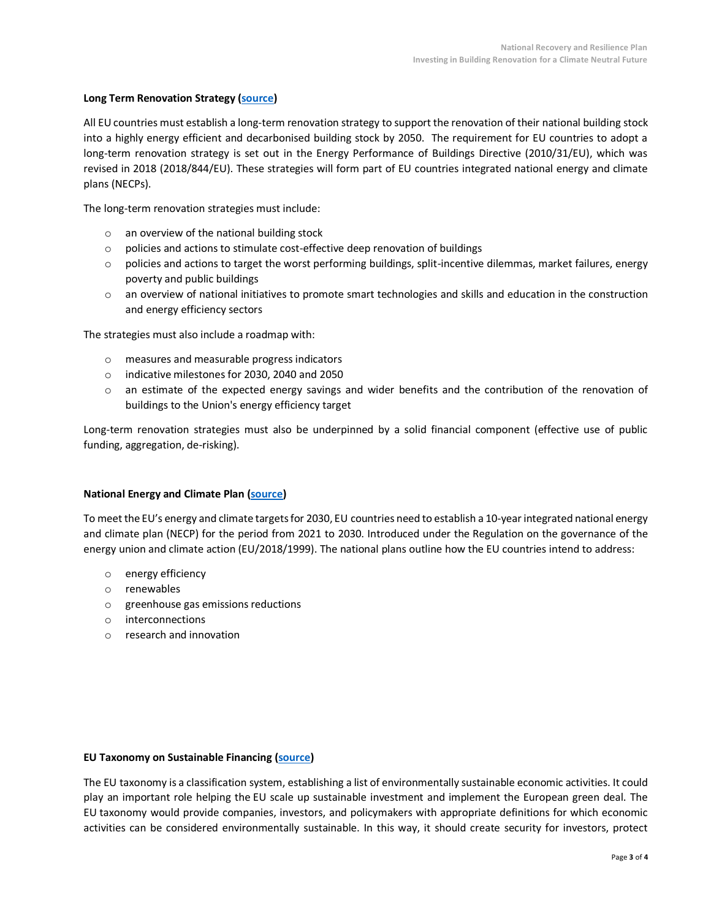### **Long Term Renovation Strategy [\(source\)](https://ec.europa.eu/energy/topics/energy-efficiency/energy-efficient-buildings/long-term-renovation-strategies_en)**

All EU countries must establish a long-term renovation strategy to support the renovation of their national building stock into a highly energy efficient and decarbonised building stock by 2050. The requirement for EU countries to adopt a long-term renovation strategy is set out in the Energy Performance of Buildings Directive (2010/31/EU), which was revised in 2018 (2018/844/EU). These strategies will form part of EU countries integrated national energy and climate plans (NECPs).

The long-term renovation strategies must include:

- o an overview of the national building stock
- o policies and actions to stimulate cost-effective deep renovation of buildings
- $\circ$  policies and actions to target the worst performing buildings, split-incentive dilemmas, market failures, energy poverty and public buildings
- $\circ$  an overview of national initiatives to promote smart technologies and skills and education in the construction and energy efficiency sectors

The strategies must also include a roadmap with:

- o measures and measurable progress indicators
- o indicative milestones for 2030, 2040 and 2050
- o an estimate of the expected energy savings and wider benefits and the contribution of the renovation of buildings to the Union's energy efficiency target

Long-term renovation strategies must also be underpinned by a solid financial component (effective use of public funding, aggregation, de-risking).

#### **National Energy and Climate Plan [\(source\)](https://ec.europa.eu/energy/topics/energy-strategy/national-energy-climate-plans_en)**

To meet the EU's energy and climate targets for 2030, EU countries need to establish a 10-year integrated national energy and climate plan (NECP) for the period from 2021 to 2030. Introduced under the [Regulation on the governance of the](https://ec.europa.eu/energy/en/topics/energy-strategy-and-energy-union/energy-union#content-heading-2)  [energy union and climate action \(EU/2018/1999\).](https://ec.europa.eu/energy/en/topics/energy-strategy-and-energy-union/energy-union#content-heading-2) The national plans outline how the EU countries intend to address:

- o energy efficiency
- o renewables
- o greenhouse gas emissions reductions
- o interconnections
- o research and innovation

#### **EU Taxonomy on Sustainable Financing [\(source\)](https://ec.europa.eu/info/business-economy-euro/banking-and-finance/sustainable-finance/eu-taxonomy-sustainable-activities_en)**

The EU taxonomy is a classification system, establishing a list of environmentally sustainable economic activities. It could play an important role helping the EU scale up sustainable investment and implement the European green deal. The EU taxonomy would provide companies, investors, and policymakers with appropriate definitions for which economic activities can be considered environmentally sustainable. In this way, it should create security for investors, protect